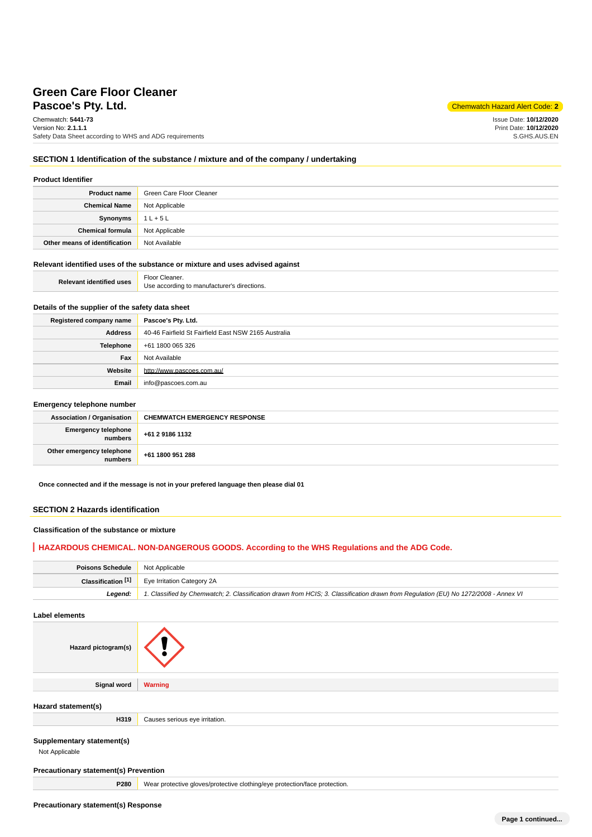# **Pascoe's Ptv. Ltd.** Chemwatch Hazard Alert Code: 2 **Green Care Floor Cleaner**

Chemwatch: **5441-73** Version No: **2.1.1.1** Safety Data Sheet according to WHS and ADG requirements

Issue Date: **10/12/2020** Print Date: **10/12/2020** S.GHS.AUS.EN

### **SECTION 1 Identification of the substance / mixture and of the company / undertaking**

### **Product Identifier**

| <b>Product name</b>           | Green Care Floor Cleaner |
|-------------------------------|--------------------------|
| <b>Chemical Name</b>          | Not Applicable           |
| Synonyms                      | $1L + 5L$                |
| Chemical formula              | Not Applicable           |
| Other means of identification | Not Available            |

### **Relevant identified uses of the substance or mixture and uses advised against**

| <b>Relevant identified uses</b> | Floor<br>Cleaner.                           |
|---------------------------------|---------------------------------------------|
|                                 | Use according to manufacturer's directions. |

# **Details of the supplier of the safety data sheet**

| Registered company name | Pascoe's Pty. Ltd.                                   |
|-------------------------|------------------------------------------------------|
| Address                 | 40-46 Fairfield St Fairfield East NSW 2165 Australia |
| Telephone               | +61 1800 065 326                                     |
| Fax                     | Not Available                                        |
| Website                 | http://www.pascoes.com.au/                           |
| Email                   | info@pascoes.com.au                                  |

#### **Emergency telephone number**

| <b>Association / Organisation</b>    | <b>CHEMWATCH EMERGENCY RESPONSE</b> |
|--------------------------------------|-------------------------------------|
| Emergency telephone<br>numbers       | +61 2 9186 1132                     |
| Other emergency telephone<br>numbers | +61 1800 951 288                    |

**Once connected and if the message is not in your prefered language then please dial 01**

## **SECTION 2 Hazards identification**

### **Classification of the substance or mixture**

### **HAZARDOUS CHEMICAL. NON-DANGEROUS GOODS. According to the WHS Regulations and the ADG Code.**

| <b>Poisons Schedule</b> Not Applicable |                                                                                                                                     |
|----------------------------------------|-------------------------------------------------------------------------------------------------------------------------------------|
|                                        | <b>Classification [1]</b> Eye Irritation Category 2A                                                                                |
| Leaend:                                | 1. Classified by Chemwatch; 2. Classification drawn from HCIS; 3. Classification drawn from Requlation (EU) No 1272/2008 - Annex VI |

## **Label elements**

| Hazard pictogram(s)                          |                                |
|----------------------------------------------|--------------------------------|
| Signal word                                  | <b>Warning</b>                 |
| Hazard statement(s)                          |                                |
| H319                                         | Causes serious eye irritation. |
| Supplementary statement(s)<br>Not Applicable |                                |
| <b>Precautionary statement(s) Prevention</b> |                                |

**P280** Wear protective gloves/protective clothing/eye protection/face protection.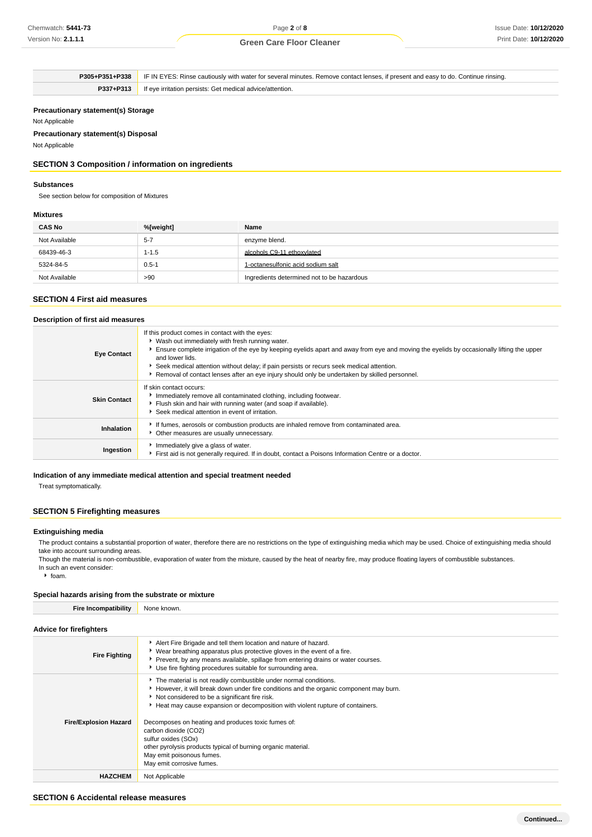**P305+P351+P338** IF IN EYES: Rinse cautiously with water for several minutes. Remove contact lenses, if present and easy to do. Continue rinsing. **P337+P313** If eye irritation persists: Get medical advice/attention.

### **Precautionary statement(s) Storage**

Not Applicable

**Precautionary statement(s) Disposal**

Not Applicable

## **SECTION 3 Composition / information on ingredients**

#### **Substances**

See section below for composition of Mixtures

#### **Mixtures**

| <b>CAS No</b> | %[weight] | Name                                       |
|---------------|-----------|--------------------------------------------|
| Not Available | $5 - 7$   | enzyme blend.                              |
| 68439-46-3    | $1 - 1.5$ | alcohols C9-11 ethoxylated                 |
| 5324-84-5     | $0.5 - 1$ | 1-octanesulfonic acid sodium salt          |
| Not Available | >90       | Ingredients determined not to be hazardous |

## **SECTION 4 First aid measures**

### **Description of first aid measures**

| If this product comes in contact with the eyes:<br>V Wash out immediately with fresh running water.<br>Ensure complete irrigation of the eye by keeping eyelids apart and away from eye and moving the eyelids by occasionally lifting the upper<br>and lower lids.<br>Seek medical attention without delay; if pain persists or recurs seek medical attention.<br>* Removal of contact lenses after an eye injury should only be undertaken by skilled personnel. |
|--------------------------------------------------------------------------------------------------------------------------------------------------------------------------------------------------------------------------------------------------------------------------------------------------------------------------------------------------------------------------------------------------------------------------------------------------------------------|
| If skin contact occurs:<br>Immediately remove all contaminated clothing, including footwear.<br>Flush skin and hair with running water (and soap if available).<br>Seek medical attention in event of irritation.                                                                                                                                                                                                                                                  |
| If fumes, aerosols or combustion products are inhaled remove from contaminated area.<br>Other measures are usually unnecessary.                                                                                                                                                                                                                                                                                                                                    |
| Immediately give a glass of water.<br>First aid is not generally required. If in doubt, contact a Poisons Information Centre or a doctor.                                                                                                                                                                                                                                                                                                                          |
|                                                                                                                                                                                                                                                                                                                                                                                                                                                                    |

## **Indication of any immediate medical attention and special treatment needed**

Treat symptomatically.

## **SECTION 5 Firefighting measures**

#### **Extinguishing media**

The product contains a substantial proportion of water, therefore there are no restrictions on the type of extinguishing media which may be used. Choice of extinguishing media should take into account surrounding areas.

Though the material is non-combustible, evaporation of water from the mixture, caused by the heat of nearby fire, may produce floating layers of combustible substances. In such an event consider:

 $\cdot$  foam.

| Special hazards arising from the substrate or mixture |                                                                                                                                                                                                                                                                                                                                                                                                                                                                                                                             |
|-------------------------------------------------------|-----------------------------------------------------------------------------------------------------------------------------------------------------------------------------------------------------------------------------------------------------------------------------------------------------------------------------------------------------------------------------------------------------------------------------------------------------------------------------------------------------------------------------|
| <b>Fire Incompatibility</b>                           | None known.                                                                                                                                                                                                                                                                                                                                                                                                                                                                                                                 |
| <b>Advice for firefighters</b>                        |                                                                                                                                                                                                                                                                                                                                                                                                                                                                                                                             |
| <b>Fire Fighting</b>                                  | Alert Fire Brigade and tell them location and nature of hazard.<br>▶ Wear breathing apparatus plus protective gloves in the event of a fire.<br>Prevent, by any means available, spillage from entering drains or water courses.<br>▶ Use fire fighting procedures suitable for surrounding area.                                                                                                                                                                                                                           |
| <b>Fire/Explosion Hazard</b>                          | The material is not readily combustible under normal conditions.<br>However, it will break down under fire conditions and the organic component may burn.<br>Not considered to be a significant fire risk.<br>Heat may cause expansion or decomposition with violent rupture of containers.<br>Decomposes on heating and produces toxic fumes of:<br>carbon dioxide (CO2)<br>sulfur oxides (SOx)<br>other pyrolysis products typical of burning organic material.<br>May emit poisonous fumes.<br>May emit corrosive fumes. |
| <b>HAZCHEM</b>                                        | Not Applicable                                                                                                                                                                                                                                                                                                                                                                                                                                                                                                              |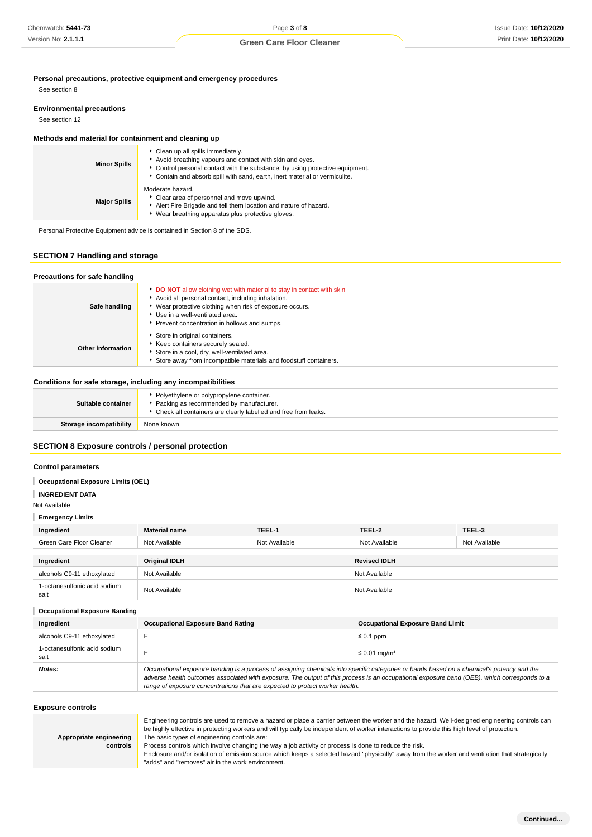**Personal precautions, protective equipment and emergency procedures**

See section 8

### **Environmental precautions**

See section 12

## **Methods and material for containment and cleaning up**

| <b>Minor Spills</b> | Clean up all spills immediately.<br>Avoid breathing vapours and contact with skin and eyes.<br>Control personal contact with the substance, by using protective equipment.<br>Contain and absorb spill with sand, earth, inert material or vermiculite. |
|---------------------|---------------------------------------------------------------------------------------------------------------------------------------------------------------------------------------------------------------------------------------------------------|
| <b>Major Spills</b> | Moderate hazard.<br>Clear area of personnel and move upwind.<br>Alert Fire Brigade and tell them location and nature of hazard.<br>Wear breathing apparatus plus protective gloves.                                                                     |

Personal Protective Equipment advice is contained in Section 8 of the SDS.

## **SECTION 7 Handling and storage**

| Precautions for safe handling |                                                                                                                                                                                                                                                                                 |
|-------------------------------|---------------------------------------------------------------------------------------------------------------------------------------------------------------------------------------------------------------------------------------------------------------------------------|
| Safe handling                 | <b>DO NOT</b> allow clothing wet with material to stay in contact with skin<br>Avoid all personal contact, including inhalation.<br>• Wear protective clothing when risk of exposure occurs.<br>▶ Use in a well-ventilated area.<br>Prevent concentration in hollows and sumps. |
| Other information             | Store in original containers.<br>Keep containers securely sealed.<br>Store in a cool, dry, well-ventilated area.<br>Store away from incompatible materials and foodstuff containers.                                                                                            |

### **Conditions for safe storage, including any incompatibilities**

| Suitable container      | Polyethylene or polypropylene container.<br>Packing as recommended by manufacturer.<br>• Check all containers are clearly labelled and free from leaks. |
|-------------------------|---------------------------------------------------------------------------------------------------------------------------------------------------------|
| Storage incompatibility | None known                                                                                                                                              |
|                         |                                                                                                                                                         |

### **SECTION 8 Exposure controls / personal protection**

## **Control parameters**

### **Occupational Exposure Limits (OEL)**

**INGREDIENT DATA**

Not Available

# **Emergency Limits**

| Ingredient                           | <b>Material name</b> | TEEL-1        | TEEL-2              | TEEL-3        |
|--------------------------------------|----------------------|---------------|---------------------|---------------|
| Green Care Floor Cleaner             | Not Available        | Not Available | Not Available       | Not Available |
|                                      |                      |               |                     |               |
| Ingredient                           | <b>Original IDLH</b> |               | <b>Revised IDLH</b> |               |
| alcohols C9-11 ethoxylated           | Not Available        |               | Not Available       |               |
| 1-octanesulfonic acid sodium<br>salt | Not Available        |               | Not Available       |               |

#### **Occupational Exposure Banding**

| Ingredient                           | <b>Occupational Exposure Band Rating</b>                                                                                                                                                                                                                                                                                                                                 | <b>Occupational Exposure Band Limit</b> |
|--------------------------------------|--------------------------------------------------------------------------------------------------------------------------------------------------------------------------------------------------------------------------------------------------------------------------------------------------------------------------------------------------------------------------|-----------------------------------------|
| alcohols C9-11 ethoxylated           |                                                                                                                                                                                                                                                                                                                                                                          | $\leq 0.1$ ppm                          |
| 1-octanesulfonic acid sodium<br>salt |                                                                                                                                                                                                                                                                                                                                                                          | $\leq$ 0.01 mg/m <sup>3</sup>           |
| Notes:                               | Occupational exposure banding is a process of assigning chemicals into specific categories or bands based on a chemical's potency and the<br>adverse health outcomes associated with exposure. The output of this process is an occupational exposure band (OEB), which corresponds to a<br>range of exposure concentrations that are expected to protect worker health. |                                         |

## **Exposure controls**

|                         | Engineering controls are used to remove a hazard or place a barrier between the worker and the hazard. Well-designed engineering controls can    |
|-------------------------|--------------------------------------------------------------------------------------------------------------------------------------------------|
|                         | be highly effective in protecting workers and will typically be independent of worker interactions to provide this high level of protection.     |
| Appropriate engineering | The basic types of engineering controls are:                                                                                                     |
| controls                | Process controls which involve changing the way a job activity or process is done to reduce the risk.                                            |
|                         | Enclosure and/or isolation of emission source which keeps a selected hazard "physically" away from the worker and ventilation that strategically |
|                         | "adds" and "removes" air in the work environment.                                                                                                |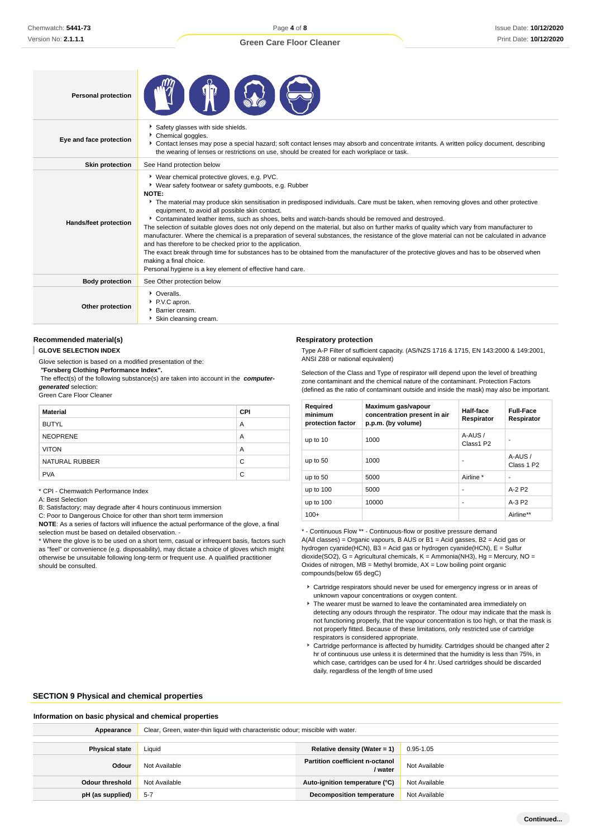| <b>Personal protection</b> |                                                                                                                                                                                                                                                                                                                                                                                                                                                                                                                                                                                                                                                                                                                                                                                                                                                                                                                                                                                                                   |
|----------------------------|-------------------------------------------------------------------------------------------------------------------------------------------------------------------------------------------------------------------------------------------------------------------------------------------------------------------------------------------------------------------------------------------------------------------------------------------------------------------------------------------------------------------------------------------------------------------------------------------------------------------------------------------------------------------------------------------------------------------------------------------------------------------------------------------------------------------------------------------------------------------------------------------------------------------------------------------------------------------------------------------------------------------|
| Eye and face protection    | Safety glasses with side shields.<br>Chemical goggles.<br>Contact lenses may pose a special hazard; soft contact lenses may absorb and concentrate irritants. A written policy document, describing<br>the wearing of lenses or restrictions on use, should be created for each workplace or task.                                                                                                                                                                                                                                                                                                                                                                                                                                                                                                                                                                                                                                                                                                                |
| <b>Skin protection</b>     | See Hand protection below                                                                                                                                                                                                                                                                                                                                                                                                                                                                                                                                                                                                                                                                                                                                                                                                                                                                                                                                                                                         |
| Hands/feet protection      | * Wear chemical protective gloves, e.g. PVC.<br>▶ Wear safety footwear or safety gumboots, e.g. Rubber<br>NOTE:<br>The material may produce skin sensitisation in predisposed individuals. Care must be taken, when removing gloves and other protective<br>equipment, to avoid all possible skin contact.<br>Contaminated leather items, such as shoes, belts and watch-bands should be removed and destroyed.<br>The selection of suitable gloves does not only depend on the material, but also on further marks of quality which vary from manufacturer to<br>manufacturer. Where the chemical is a preparation of several substances, the resistance of the glove material can not be calculated in advance<br>and has therefore to be checked prior to the application.<br>The exact break through time for substances has to be obtained from the manufacturer of the protective gloves and has to be observed when<br>making a final choice.<br>Personal hygiene is a key element of effective hand care. |
| <b>Body protection</b>     | See Other protection below                                                                                                                                                                                                                                                                                                                                                                                                                                                                                                                                                                                                                                                                                                                                                                                                                                                                                                                                                                                        |
| Other protection           | • Overalls.<br>P.V.C apron.<br>Barrier cream.<br>Skin cleansing cream.                                                                                                                                                                                                                                                                                                                                                                                                                                                                                                                                                                                                                                                                                                                                                                                                                                                                                                                                            |

#### **Recommended material(s)**

**GLOVE SELECTION INDEX**

Glove selection is based on a modified presentation of the:

 **"Forsberg Clothing Performance Index".**

 The effect(s) of the following substance(s) are taken into account in the **computergenerated** selection:

Green Care Floor Cleaner

| <b>Material</b> | <b>CPI</b> |
|-----------------|------------|
| <b>BUTYL</b>    | A          |
| <b>NEOPRENE</b> | A          |
| <b>VITON</b>    | A          |
| NATURAL RUBBER  | C          |
| <b>PVA</b>      | C          |

\* CPI - Chemwatch Performance Index

A: Best Selection

B: Satisfactory; may degrade after 4 hours continuous immersion

C: Poor to Dangerous Choice for other than short term immersion

**NOTE**: As a series of factors will influence the actual performance of the glove, a final selection must be based on detailed observation. -

\* Where the glove is to be used on a short term, casual or infrequent basis, factors such as "feel" or convenience (e.g. disposability), may dictate a choice of gloves which might otherwise be unsuitable following long-term or frequent use. A qualified practitioner should be consulted.

#### **Respiratory protection**

Type A-P Filter of sufficient capacity. (AS/NZS 1716 & 1715, EN 143:2000 & 149:2001, ANSI Z88 or national equivalent)

Selection of the Class and Type of respirator will depend upon the level of breathing zone contaminant and the chemical nature of the contaminant. Protection Factors (defined as the ratio of contaminant outside and inside the mask) may also be important.

| Required<br>minimum<br>protection factor | Maximum gas/vapour<br>concentration present in air<br>p.p.m. (by volume) | Half-face<br>Respirator | <b>Full-Face</b><br>Respirator   |
|------------------------------------------|--------------------------------------------------------------------------|-------------------------|----------------------------------|
| up to 10                                 | 1000                                                                     | A-AUS/<br>Class1 P2     |                                  |
| up to 50                                 | 1000                                                                     | ٠                       | A-AUS/<br>Class 1 P <sub>2</sub> |
| up to 50                                 | 5000                                                                     | Airline *               | ۰                                |
| up to $100$                              | 5000                                                                     | ٠                       | $A-2$ P <sub>2</sub>             |
| up to $100$                              | 10000                                                                    | ٠                       | $A-3P2$                          |
| $100+$                                   |                                                                          |                         | Airline**                        |

\* - Continuous Flow \*\* - Continuous-flow or positive pressure demand A(All classes) = Organic vapours, B AUS or B1 = Acid gasses, B2 = Acid gas or hydrogen cyanide(HCN), B3 = Acid gas or hydrogen cyanide(HCN), E = Sulfur dioxide(SO2), G = Agricultural chemicals, K = Ammonia(NH3), Hg = Mercury, NO = Oxides of nitrogen,  $MB =$  Methyl bromide,  $AX =$  Low boiling point organic compounds(below 65 degC)

- Cartridge respirators should never be used for emergency ingress or in areas of unknown vapour concentrations or oxygen content.
- $\blacktriangleright$  The wearer must be warned to leave the contaminated area immediately on detecting any odours through the respirator. The odour may indicate that the mask is not functioning properly, that the vapour concentration is too high, or that the mask is not properly fitted. Because of these limitations, only restricted use of cartridge respirators is considered appropriate.
- Cartridge performance is affected by humidity. Cartridges should be changed after 2 hr of continuous use unless it is determined that the humidity is less than 75%, in which case, cartridges can be used for 4 hr. Used cartridges should be discarded daily, regardless of the length of time used

#### **SECTION 9 Physical and chemical properties**

#### **Information on basic physical and chemical properties**

| Appearance            | Clear, Green, water-thin liquid with characteristic odour; miscible with water. |                                                   |               |  |
|-----------------------|---------------------------------------------------------------------------------|---------------------------------------------------|---------------|--|
|                       |                                                                                 |                                                   |               |  |
| <b>Physical state</b> | Liquid                                                                          | Relative density (Water = 1)                      | $0.95 - 1.05$ |  |
| Odour                 | Not Available                                                                   | <b>Partition coefficient n-octanol</b><br>/ water | Not Available |  |
| Odour threshold       | Not Available                                                                   | Auto-ignition temperature (°C)                    | Not Available |  |
| pH (as supplied)      | $5-7$                                                                           | <b>Decomposition temperature</b>                  | Not Available |  |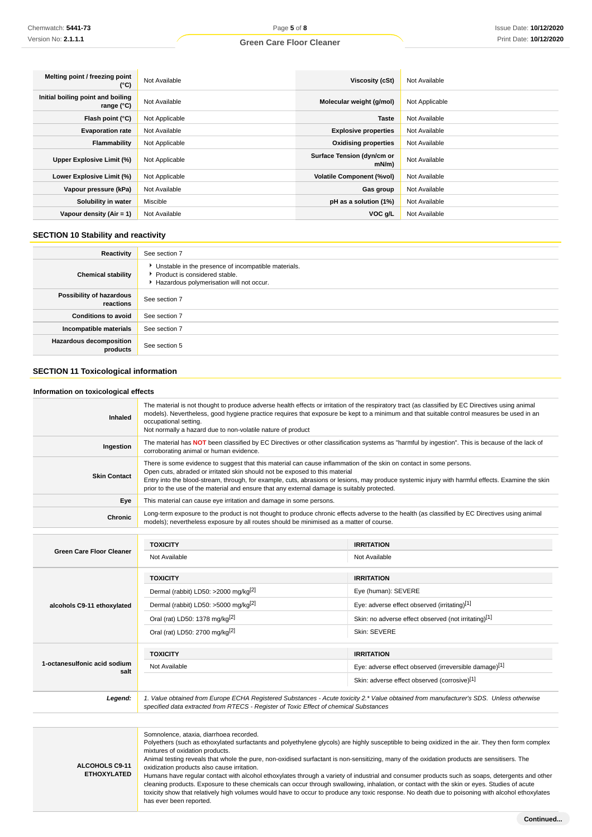| Melting point / freezing point<br>(°C)                   | Not Available  | Viscosity (cSt)                        | Not Available  |
|----------------------------------------------------------|----------------|----------------------------------------|----------------|
| Initial boiling point and boiling<br>range $(^{\circ}C)$ | Not Available  | Molecular weight (g/mol)               | Not Applicable |
| Flash point (°C)                                         | Not Applicable | <b>Taste</b>                           | Not Available  |
| <b>Evaporation rate</b>                                  | Not Available  | <b>Explosive properties</b>            | Not Available  |
| Flammability                                             | Not Applicable | <b>Oxidising properties</b>            | Not Available  |
| Upper Explosive Limit (%)                                | Not Applicable | Surface Tension (dyn/cm or<br>$mN/m$ ) | Not Available  |
| Lower Explosive Limit (%)                                | Not Applicable | <b>Volatile Component (%vol)</b>       | Not Available  |
| Vapour pressure (kPa)                                    | Not Available  | Gas group                              | Not Available  |
| Solubility in water                                      | Miscible       | pH as a solution (1%)                  | Not Available  |
| Vapour density $(Air = 1)$                               | Not Available  | VOC <sub>g</sub> /L                    | Not Available  |

# **SECTION 10 Stability and reactivity**

| Reactivity                                 | See section 7                                                                                                                      |
|--------------------------------------------|------------------------------------------------------------------------------------------------------------------------------------|
| <b>Chemical stability</b>                  | • Unstable in the presence of incompatible materials.<br>Product is considered stable.<br>Hazardous polymerisation will not occur. |
| Possibility of hazardous<br>reactions      | See section 7                                                                                                                      |
| <b>Conditions to avoid</b>                 | See section 7                                                                                                                      |
| Incompatible materials                     | See section 7                                                                                                                      |
| <b>Hazardous decomposition</b><br>products | See section 5                                                                                                                      |

# **SECTION 11 Toxicological information**

# **Information on toxicological effects**

| Inhaled                                                                                                                                                  | occupational setting.<br>Not normally a hazard due to non-volatile nature of product                                                                                       |                                                                                                                                                                                                                                                                                                                                                                                                                                                                                                                                                                                                                                                                                                                                                                                                                                                                                                                                                                                                                                                                                                                                                                                                                                                                                                                                                                                                                                                                                                                                                                                                                                                                                                                                                              |
|----------------------------------------------------------------------------------------------------------------------------------------------------------|----------------------------------------------------------------------------------------------------------------------------------------------------------------------------|--------------------------------------------------------------------------------------------------------------------------------------------------------------------------------------------------------------------------------------------------------------------------------------------------------------------------------------------------------------------------------------------------------------------------------------------------------------------------------------------------------------------------------------------------------------------------------------------------------------------------------------------------------------------------------------------------------------------------------------------------------------------------------------------------------------------------------------------------------------------------------------------------------------------------------------------------------------------------------------------------------------------------------------------------------------------------------------------------------------------------------------------------------------------------------------------------------------------------------------------------------------------------------------------------------------------------------------------------------------------------------------------------------------------------------------------------------------------------------------------------------------------------------------------------------------------------------------------------------------------------------------------------------------------------------------------------------------------------------------------------------------|
| Ingestion                                                                                                                                                | corroborating animal or human evidence.                                                                                                                                    |                                                                                                                                                                                                                                                                                                                                                                                                                                                                                                                                                                                                                                                                                                                                                                                                                                                                                                                                                                                                                                                                                                                                                                                                                                                                                                                                                                                                                                                                                                                                                                                                                                                                                                                                                              |
| <b>Skin Contact</b>                                                                                                                                      | Open cuts, abraded or irritated skin should not be exposed to this material<br>prior to the use of the material and ensure that any external damage is suitably protected. |                                                                                                                                                                                                                                                                                                                                                                                                                                                                                                                                                                                                                                                                                                                                                                                                                                                                                                                                                                                                                                                                                                                                                                                                                                                                                                                                                                                                                                                                                                                                                                                                                                                                                                                                                              |
| Eye                                                                                                                                                      | This material can cause eye irritation and damage in some persons.                                                                                                         |                                                                                                                                                                                                                                                                                                                                                                                                                                                                                                                                                                                                                                                                                                                                                                                                                                                                                                                                                                                                                                                                                                                                                                                                                                                                                                                                                                                                                                                                                                                                                                                                                                                                                                                                                              |
| Chronic                                                                                                                                                  | models); nevertheless exposure by all routes should be minimised as a matter of course.                                                                                    |                                                                                                                                                                                                                                                                                                                                                                                                                                                                                                                                                                                                                                                                                                                                                                                                                                                                                                                                                                                                                                                                                                                                                                                                                                                                                                                                                                                                                                                                                                                                                                                                                                                                                                                                                              |
|                                                                                                                                                          |                                                                                                                                                                            |                                                                                                                                                                                                                                                                                                                                                                                                                                                                                                                                                                                                                                                                                                                                                                                                                                                                                                                                                                                                                                                                                                                                                                                                                                                                                                                                                                                                                                                                                                                                                                                                                                                                                                                                                              |
|                                                                                                                                                          | <b>TOXICITY</b>                                                                                                                                                            | <b>IRRITATION</b>                                                                                                                                                                                                                                                                                                                                                                                                                                                                                                                                                                                                                                                                                                                                                                                                                                                                                                                                                                                                                                                                                                                                                                                                                                                                                                                                                                                                                                                                                                                                                                                                                                                                                                                                            |
|                                                                                                                                                          | Not Available                                                                                                                                                              | Not Available                                                                                                                                                                                                                                                                                                                                                                                                                                                                                                                                                                                                                                                                                                                                                                                                                                                                                                                                                                                                                                                                                                                                                                                                                                                                                                                                                                                                                                                                                                                                                                                                                                                                                                                                                |
|                                                                                                                                                          | <b>TOXICITY</b>                                                                                                                                                            | <b>IRRITATION</b>                                                                                                                                                                                                                                                                                                                                                                                                                                                                                                                                                                                                                                                                                                                                                                                                                                                                                                                                                                                                                                                                                                                                                                                                                                                                                                                                                                                                                                                                                                                                                                                                                                                                                                                                            |
|                                                                                                                                                          | Dermal (rabbit) LD50: >2000 mg/kg <sup>[2]</sup>                                                                                                                           | The material is not thought to produce adverse health effects or irritation of the respiratory tract (as classified by EC Directives using animal<br>models). Nevertheless, good hygiene practice requires that exposure be kept to a minimum and that suitable control measures be used in an<br>The material has NOT been classified by EC Directives or other classification systems as "harmful by ingestion". This is because of the lack of<br>There is some evidence to suggest that this material can cause inflammation of the skin on contact in some persons.<br>Entry into the blood-stream, through, for example, cuts, abrasions or lesions, may produce systemic injury with harmful effects. Examine the skin<br>Long-term exposure to the product is not thought to produce chronic effects adverse to the health (as classified by EC Directives using animal<br>Eye (human): SEVERE<br>Eye: adverse effect observed (irritating)[1]<br>Skin: no adverse effect observed (not irritating)[1]<br>Skin: SEVERE<br><b>IRRITATION</b><br>Eye: adverse effect observed (irreversible damage)[1]<br>Skin: adverse effect observed (corrosive)[1]<br>1. Value obtained from Europe ECHA Registered Substances - Acute toxicity 2.* Value obtained from manufacturer's SDS. Unless otherwise<br>Polyethers (such as ethoxylated surfactants and polyethylene glycols) are highly susceptible to being oxidized in the air. They then form complex<br>Animal testing reveals that whole the pure, non-oxidised surfactant is non-sensitizing, many of the oxidation products are sensitisers. The<br>Humans have regular contact with alcohol ethoxylates through a variety of industrial and consumer products such as soaps, detergents and other |
| <b>Green Care Floor Cleaner</b><br>alcohols C9-11 ethoxylated<br>1-octanesulfonic acid sodium<br>salt<br>Legend:<br>ALCOHOLS C9-11<br><b>ETHOXYLATED</b> | Dermal (rabbit) LD50: >5000 mg/kg <sup>[2]</sup>                                                                                                                           |                                                                                                                                                                                                                                                                                                                                                                                                                                                                                                                                                                                                                                                                                                                                                                                                                                                                                                                                                                                                                                                                                                                                                                                                                                                                                                                                                                                                                                                                                                                                                                                                                                                                                                                                                              |
|                                                                                                                                                          | Oral (rat) LD50: 1378 mg/kg <sup>[2]</sup>                                                                                                                                 |                                                                                                                                                                                                                                                                                                                                                                                                                                                                                                                                                                                                                                                                                                                                                                                                                                                                                                                                                                                                                                                                                                                                                                                                                                                                                                                                                                                                                                                                                                                                                                                                                                                                                                                                                              |
|                                                                                                                                                          | Oral (rat) LD50: 2700 mg/kg[2]                                                                                                                                             |                                                                                                                                                                                                                                                                                                                                                                                                                                                                                                                                                                                                                                                                                                                                                                                                                                                                                                                                                                                                                                                                                                                                                                                                                                                                                                                                                                                                                                                                                                                                                                                                                                                                                                                                                              |
|                                                                                                                                                          | <b>TOXICITY</b>                                                                                                                                                            |                                                                                                                                                                                                                                                                                                                                                                                                                                                                                                                                                                                                                                                                                                                                                                                                                                                                                                                                                                                                                                                                                                                                                                                                                                                                                                                                                                                                                                                                                                                                                                                                                                                                                                                                                              |
|                                                                                                                                                          | Not Available                                                                                                                                                              |                                                                                                                                                                                                                                                                                                                                                                                                                                                                                                                                                                                                                                                                                                                                                                                                                                                                                                                                                                                                                                                                                                                                                                                                                                                                                                                                                                                                                                                                                                                                                                                                                                                                                                                                                              |
|                                                                                                                                                          |                                                                                                                                                                            |                                                                                                                                                                                                                                                                                                                                                                                                                                                                                                                                                                                                                                                                                                                                                                                                                                                                                                                                                                                                                                                                                                                                                                                                                                                                                                                                                                                                                                                                                                                                                                                                                                                                                                                                                              |
|                                                                                                                                                          | specified data extracted from RTECS - Register of Toxic Effect of chemical Substances                                                                                      |                                                                                                                                                                                                                                                                                                                                                                                                                                                                                                                                                                                                                                                                                                                                                                                                                                                                                                                                                                                                                                                                                                                                                                                                                                                                                                                                                                                                                                                                                                                                                                                                                                                                                                                                                              |
|                                                                                                                                                          |                                                                                                                                                                            |                                                                                                                                                                                                                                                                                                                                                                                                                                                                                                                                                                                                                                                                                                                                                                                                                                                                                                                                                                                                                                                                                                                                                                                                                                                                                                                                                                                                                                                                                                                                                                                                                                                                                                                                                              |
|                                                                                                                                                          | Somnolence, ataxia, diarrhoea recorded.<br>mixtures of oxidation products.<br>oxidization products also cause irritation.                                                  | cleaning products. Exposure to these chemicals can occur through swallowing, inhalation, or contact with the skin or eyes. Studies of acute<br>toxicity show that relatively high volumes would have to occur to produce any toxic response. No death due to poisoning with alcohol ethoxylates                                                                                                                                                                                                                                                                                                                                                                                                                                                                                                                                                                                                                                                                                                                                                                                                                                                                                                                                                                                                                                                                                                                                                                                                                                                                                                                                                                                                                                                              |

has ever been reported.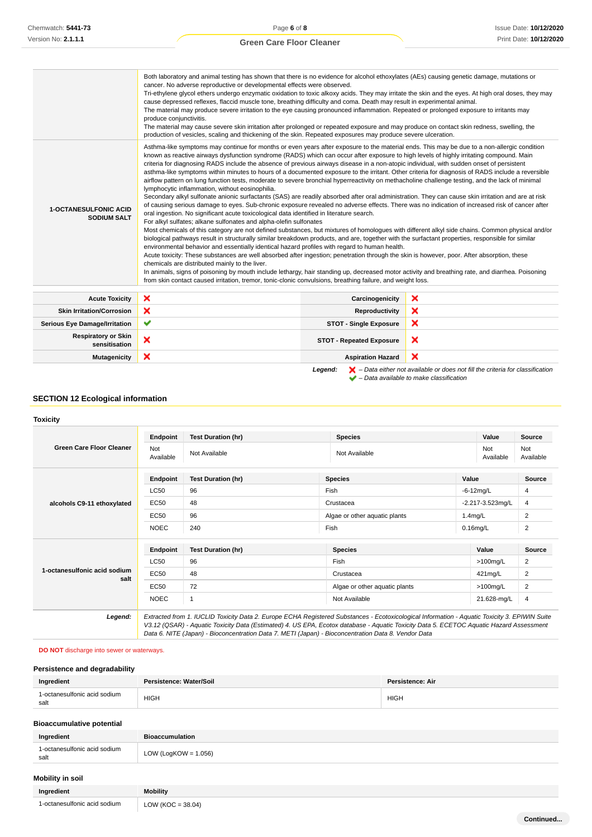Issue Date: **10/12/2020** Print Date: **10/12/2020**

**Continued...**

| Mutagenicity                                       | ×                                                                                                                                                                                                                                                                                                                                                                                                                                                                                                                                                                                                                                                                                                                                                                                                                                                                                                                                                                                                                                                                                                                                                                                                                                                                                                                                                                                                                                                                                                                                                                                                                                                                                                                                                                                                                                                                                                                                                                                                                                                                                                                                                                                                                                                                                                                                                                                                                                                                                                                                                                                                                                                                                                                                                                                                                                                                                                                                              | <b>Aspiration Hazard</b>        | × |
|----------------------------------------------------|------------------------------------------------------------------------------------------------------------------------------------------------------------------------------------------------------------------------------------------------------------------------------------------------------------------------------------------------------------------------------------------------------------------------------------------------------------------------------------------------------------------------------------------------------------------------------------------------------------------------------------------------------------------------------------------------------------------------------------------------------------------------------------------------------------------------------------------------------------------------------------------------------------------------------------------------------------------------------------------------------------------------------------------------------------------------------------------------------------------------------------------------------------------------------------------------------------------------------------------------------------------------------------------------------------------------------------------------------------------------------------------------------------------------------------------------------------------------------------------------------------------------------------------------------------------------------------------------------------------------------------------------------------------------------------------------------------------------------------------------------------------------------------------------------------------------------------------------------------------------------------------------------------------------------------------------------------------------------------------------------------------------------------------------------------------------------------------------------------------------------------------------------------------------------------------------------------------------------------------------------------------------------------------------------------------------------------------------------------------------------------------------------------------------------------------------------------------------------------------------------------------------------------------------------------------------------------------------------------------------------------------------------------------------------------------------------------------------------------------------------------------------------------------------------------------------------------------------------------------------------------------------------------------------------------------------|---------------------------------|---|
| <b>Respiratory or Skin</b><br>sensitisation        | ×                                                                                                                                                                                                                                                                                                                                                                                                                                                                                                                                                                                                                                                                                                                                                                                                                                                                                                                                                                                                                                                                                                                                                                                                                                                                                                                                                                                                                                                                                                                                                                                                                                                                                                                                                                                                                                                                                                                                                                                                                                                                                                                                                                                                                                                                                                                                                                                                                                                                                                                                                                                                                                                                                                                                                                                                                                                                                                                                              | <b>STOT - Repeated Exposure</b> | × |
| <b>Serious Eye Damage/Irritation</b>               | $\checkmark$                                                                                                                                                                                                                                                                                                                                                                                                                                                                                                                                                                                                                                                                                                                                                                                                                                                                                                                                                                                                                                                                                                                                                                                                                                                                                                                                                                                                                                                                                                                                                                                                                                                                                                                                                                                                                                                                                                                                                                                                                                                                                                                                                                                                                                                                                                                                                                                                                                                                                                                                                                                                                                                                                                                                                                                                                                                                                                                                   | <b>STOT - Single Exposure</b>   | × |
| <b>Skin Irritation/Corrosion</b>                   | ×                                                                                                                                                                                                                                                                                                                                                                                                                                                                                                                                                                                                                                                                                                                                                                                                                                                                                                                                                                                                                                                                                                                                                                                                                                                                                                                                                                                                                                                                                                                                                                                                                                                                                                                                                                                                                                                                                                                                                                                                                                                                                                                                                                                                                                                                                                                                                                                                                                                                                                                                                                                                                                                                                                                                                                                                                                                                                                                                              | Reproductivity                  | × |
| <b>Acute Toxicity</b>                              | ×                                                                                                                                                                                                                                                                                                                                                                                                                                                                                                                                                                                                                                                                                                                                                                                                                                                                                                                                                                                                                                                                                                                                                                                                                                                                                                                                                                                                                                                                                                                                                                                                                                                                                                                                                                                                                                                                                                                                                                                                                                                                                                                                                                                                                                                                                                                                                                                                                                                                                                                                                                                                                                                                                                                                                                                                                                                                                                                                              | Carcinogenicity                 | × |
| <b>1-OCTANESULFONIC ACID</b><br><b>SODIUM SALT</b> | cancer. No adverse reproductive or developmental effects were observed.<br>Tri-ethylene glycol ethers undergo enzymatic oxidation to toxic alkoxy acids. They may irritate the skin and the eyes. At high oral doses, they may<br>cause depressed reflexes, flaccid muscle tone, breathing difficulty and coma. Death may result in experimental animal.<br>The material may produce severe irritation to the eye causing pronounced inflammation. Repeated or prolonged exposure to irritants may<br>produce conjunctivitis.<br>The material may cause severe skin irritation after prolonged or repeated exposure and may produce on contact skin redness, swelling, the<br>production of vesicles, scaling and thickening of the skin. Repeated exposures may produce severe ulceration.<br>Asthma-like symptoms may continue for months or even years after exposure to the material ends. This may be due to a non-allergic condition<br>known as reactive airways dysfunction syndrome (RADS) which can occur after exposure to high levels of highly irritating compound. Main<br>criteria for diagnosing RADS include the absence of previous airways disease in a non-atopic individual, with sudden onset of persistent<br>asthma-like symptoms within minutes to hours of a documented exposure to the irritant. Other criteria for diagnosis of RADS include a reversible<br>airflow pattern on lung function tests, moderate to severe bronchial hyperreactivity on methacholine challenge testing, and the lack of minimal<br>lymphocytic inflammation, without eosinophilia.<br>Secondary alkyl sulfonate anionic surfactants (SAS) are readily absorbed after oral administration. They can cause skin irritation and are at risk<br>of causing serious damage to eyes. Sub-chronic exposure revealed no adverse effects. There was no indication of increased risk of cancer after<br>oral ingestion. No significant acute toxicological data identified in literature search.<br>For alkyl sulfates; alkane sulfonates and alpha-olefin sulfonates<br>Most chemicals of this category are not defined substances, but mixtures of homologues with different alkyl side chains. Common physical and/or<br>biological pathways result in structurally similar breakdown products, and are, together with the surfactant properties, responsible for similar<br>environmental behavior and essentially identical hazard profiles with regard to human health.<br>Acute toxicity: These substances are well absorbed after ingestion; penetration through the skin is however, poor. After absorption, these<br>chemicals are distributed mainly to the liver.<br>In animals, signs of poisoning by mouth include lethargy, hair standing up, decreased motor activity and breathing rate, and diarrhea. Poisoning<br>from skin contact caused irritation, tremor, tonic-clonic convulsions, breathing failure, and weight loss. |                                 |   |
|                                                    | Both laboratory and animal testing has shown that there is no evidence for alcohol ethoxylates (AEs) causing genetic damage, mutations or                                                                                                                                                                                                                                                                                                                                                                                                                                                                                                                                                                                                                                                                                                                                                                                                                                                                                                                                                                                                                                                                                                                                                                                                                                                                                                                                                                                                                                                                                                                                                                                                                                                                                                                                                                                                                                                                                                                                                                                                                                                                                                                                                                                                                                                                                                                                                                                                                                                                                                                                                                                                                                                                                                                                                                                                      |                                 |   |

```
 – Data available to make classification
```
## **SECTION 12 Ecological information**

## **Toxicity**

| <b>Green Care Floor Cleaner</b>      | Endpoint         | <b>Test Duration (hr)</b> | <b>Species</b>                | Value                        |              | Source           |
|--------------------------------------|------------------|---------------------------|-------------------------------|------------------------------|--------------|------------------|
|                                      | Not<br>Available | Not Available             | Not Available                 | Not<br>Available             |              | Not<br>Available |
|                                      | Endpoint         | <b>Test Duration (hr)</b> | <b>Species</b>                | Value                        |              | Source           |
| alcohols C9-11 ethoxylated           | <b>LC50</b>      | 96                        | Fish                          |                              | $-6-12$ mg/L | 4                |
|                                      | <b>EC50</b>      | 48                        | Crustacea                     | $-2.217 - 3.523$ mg/L        |              | 4                |
|                                      | <b>EC50</b>      | 96                        | Algae or other aquatic plants | $1.4$ mg/L                   |              | $\overline{2}$   |
|                                      | <b>NOEC</b>      | 240                       | Fish                          | $0.16$ mg/L                  |              | $\overline{c}$   |
|                                      | Endpoint         | <b>Test Duration (hr)</b> | <b>Species</b>                |                              | Value        | <b>Source</b>    |
|                                      | <b>LC50</b>      | 96                        | Fish                          |                              | $>100$ mg/L  | 2                |
| 1-octanesulfonic acid sodium<br>salt | EC50             | 48                        | Crustacea                     | 421mg/L                      |              | $\overline{2}$   |
|                                      | <b>EC50</b>      | 72                        | Algae or other aquatic plants | $>100$ mg/L                  |              | $\overline{2}$   |
|                                      | <b>NOEC</b>      | 1                         |                               | Not Available<br>21.628-mg/L |              | 4                |

V3.12 (QSAR) - Aquatic Toxicity Data (Estimated) 4. US EPA, Ecotox database - Aquatic Toxicity Data 5. ECETOC Aquatic Hazard Assessment Data 6. NITE (Japan) - Bioconcentration Data 7. METI (Japan) - Bioconcentration Data 8. Vendor Data

### **DO NOT** discharge into sewer or waterways.

## **Persistence and degradability**

| Ingredient                           | Persistence: Water/Soil | <b>Persistence: Air</b> |
|--------------------------------------|-------------------------|-------------------------|
| 1-octanesulfonic acid sodium<br>salt | <b>HIGH</b>             | <b>HIGH</b>             |

## **Bioaccumulative potential**

| Ingredient                                     | <b>Bioaccumulation</b>  |
|------------------------------------------------|-------------------------|
| 1-octanesulfonic acid sodium<br>salt<br>$   -$ | LOW (LogKOW = $1.056$ ) |

# **Mobility in soil**

| Ingredient                   | <b>Mobility</b>       |
|------------------------------|-----------------------|
| 1-octanesulfonic acid sodium | LOW ( $KOC = 38.04$ ) |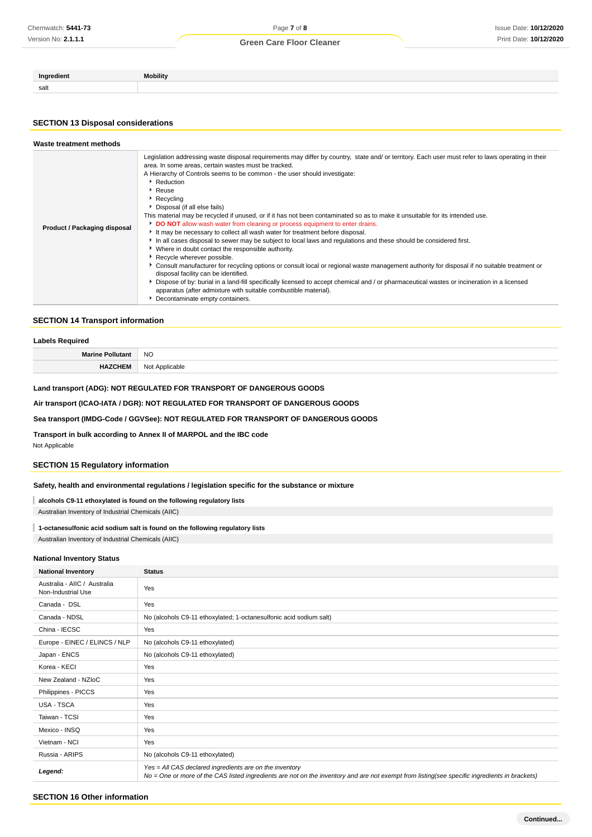| Ingredient | <b>Mobility</b> |
|------------|-----------------|
| salt       |                 |

### **SECTION 13 Disposal considerations**

| Waste treatment methods      |                                                                                                                                                                                                                                                                                                                                                                                                                                                                                                                                                                                                                                                                                                                                                                                                                                                                                                                                                                                                                                                                                                                                                                                                                                                                                                                                                        |
|------------------------------|--------------------------------------------------------------------------------------------------------------------------------------------------------------------------------------------------------------------------------------------------------------------------------------------------------------------------------------------------------------------------------------------------------------------------------------------------------------------------------------------------------------------------------------------------------------------------------------------------------------------------------------------------------------------------------------------------------------------------------------------------------------------------------------------------------------------------------------------------------------------------------------------------------------------------------------------------------------------------------------------------------------------------------------------------------------------------------------------------------------------------------------------------------------------------------------------------------------------------------------------------------------------------------------------------------------------------------------------------------|
| Product / Packaging disposal | Legislation addressing waste disposal requirements may differ by country, state and/ or territory. Each user must refer to laws operating in their<br>area. In some areas, certain wastes must be tracked.<br>A Hierarchy of Controls seems to be common - the user should investigate:<br>Reduction<br>$\cdot$ Reuse<br>$\blacktriangleright$ Recycling<br>Disposal (if all else fails)<br>This material may be recycled if unused, or if it has not been contaminated so as to make it unsuitable for its intended use.<br><b>DO NOT</b> allow wash water from cleaning or process equipment to enter drains.<br>It may be necessary to collect all wash water for treatment before disposal.<br>In all cases disposal to sewer may be subject to local laws and regulations and these should be considered first.<br>• Where in doubt contact the responsible authority.<br>Recycle wherever possible.<br>Consult manufacturer for recycling options or consult local or regional waste management authority for disposal if no suitable treatment or<br>disposal facility can be identified.<br>Dispose of by: burial in a land-fill specifically licensed to accept chemical and / or pharmaceutical wastes or incineration in a licensed<br>apparatus (after admixture with suitable combustible material).<br>• Decontaminate empty containers. |

### **SECTION 14 Transport information**

| Labels Required         |           |
|-------------------------|-----------|
| <b>Marine Pollutant</b> | <b>NO</b> |
|                         | Not.      |

### **Land transport (ADG): NOT REGULATED FOR TRANSPORT OF DANGEROUS GOODS**

## **Air transport (ICAO-IATA / DGR): NOT REGULATED FOR TRANSPORT OF DANGEROUS GOODS**

## **Sea transport (IMDG-Code / GGVSee): NOT REGULATED FOR TRANSPORT OF DANGEROUS GOODS**

**Transport in bulk according to Annex II of MARPOL and the IBC code**

Not Applicable

### **SECTION 15 Regulatory information**

## **Safety, health and environmental regulations / legislation specific for the substance or mixture**

**alcohols C9-11 ethoxylated is found on the following regulatory lists**

Australian Inventory of Industrial Chemicals (AIIC)

## **1-octanesulfonic acid sodium salt is found on the following regulatory lists**

Australian Inventory of Industrial Chemicals (AIIC)

### **National Inventory Status**

| <b>National Inventory</b>                          | <b>Status</b>                                                                                                                                                                                            |
|----------------------------------------------------|----------------------------------------------------------------------------------------------------------------------------------------------------------------------------------------------------------|
| Australia - AIIC / Australia<br>Non-Industrial Use | Yes                                                                                                                                                                                                      |
| Canada - DSL                                       | Yes                                                                                                                                                                                                      |
| Canada - NDSL                                      | No (alcohols C9-11 ethoxylated; 1-octanesulfonic acid sodium salt)                                                                                                                                       |
| China - IECSC                                      | Yes                                                                                                                                                                                                      |
| Europe - EINEC / ELINCS / NLP                      | No (alcohols C9-11 ethoxylated)                                                                                                                                                                          |
| Japan - ENCS                                       | No (alcohols C9-11 ethoxylated)                                                                                                                                                                          |
| Korea - KECI                                       | Yes                                                                                                                                                                                                      |
| New Zealand - NZIoC                                | Yes                                                                                                                                                                                                      |
| Philippines - PICCS                                | Yes                                                                                                                                                                                                      |
| USA - TSCA                                         | Yes                                                                                                                                                                                                      |
| Taiwan - TCSI                                      | Yes                                                                                                                                                                                                      |
| Mexico - INSQ                                      | Yes                                                                                                                                                                                                      |
| Vietnam - NCI                                      | Yes                                                                                                                                                                                                      |
| Russia - ARIPS                                     | No (alcohols C9-11 ethoxylated)                                                                                                                                                                          |
| Legend:                                            | Yes = All CAS declared ingredients are on the inventory<br>No = One or more of the CAS listed ingredients are not on the inventory and are not exempt from listing(see specific ingredients in brackets) |